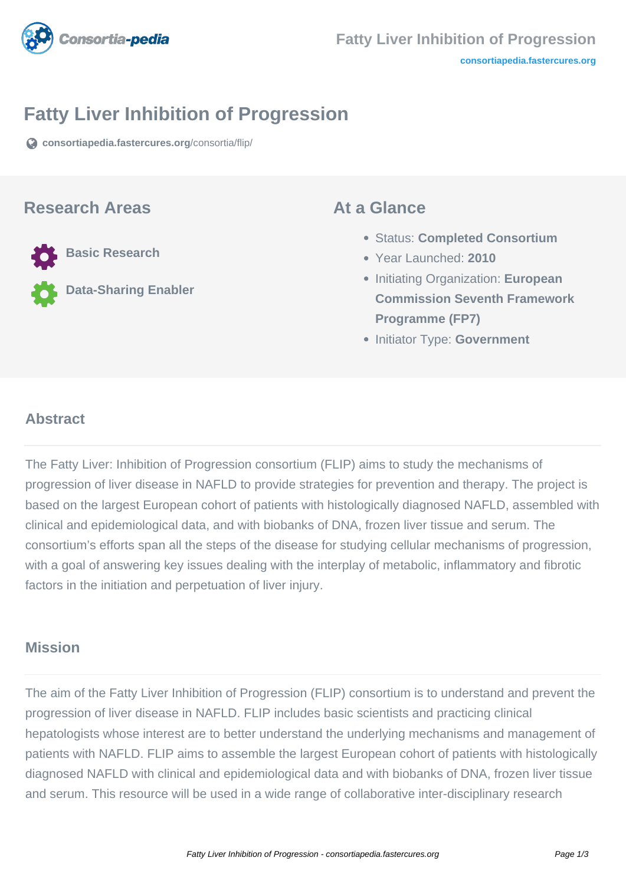

# **Fatty Liver Inhibition of Progression**

**[consortiapedia.fastercures.org](https://consortiapedia.fastercures.org/consortia/flip/)**[/consortia/flip/](https://consortiapedia.fastercures.org/consortia/flip/)

### **Research Areas**

**Basic Research**

**Data-Sharing Enabler**

### **At a Glance**

- Status: **Completed Consortium**
- Year Launched: **2010**
- **Initiating Organization: European Commission Seventh Framework Programme (FP7)**
- **Initiator Type: Government**

#### $\overline{a}$ **Abstract**

The Fatty Liver: Inhibition of Progression consortium (FLIP) aims to study the mechanisms of progression of liver disease in NAFLD to provide strategies for prevention and therapy. The project is based on the largest European cohort of patients with histologically diagnosed NAFLD, assembled with clinical and epidemiological data, and with biobanks of DNA, frozen liver tissue and serum. The consortium's efforts span all the steps of the disease for studying cellular mechanisms of progression, with a goal of answering key issues dealing with the interplay of metabolic, inflammatory and fibrotic factors in the initiation and perpetuation of liver injury.

## **Mission**

The aim of the Fatty Liver Inhibition of Progression (FLIP) consortium is to understand and prevent the progression of liver disease in NAFLD. FLIP includes basic scientists and practicing clinical hepatologists whose interest are to better understand the underlying mechanisms and management of patients with NAFLD. FLIP aims to assemble the largest European cohort of patients with histologically diagnosed NAFLD with clinical and epidemiological data and with biobanks of DNA, frozen liver tissue and serum. This resource will be used in a wide range of collaborative inter-disciplinary research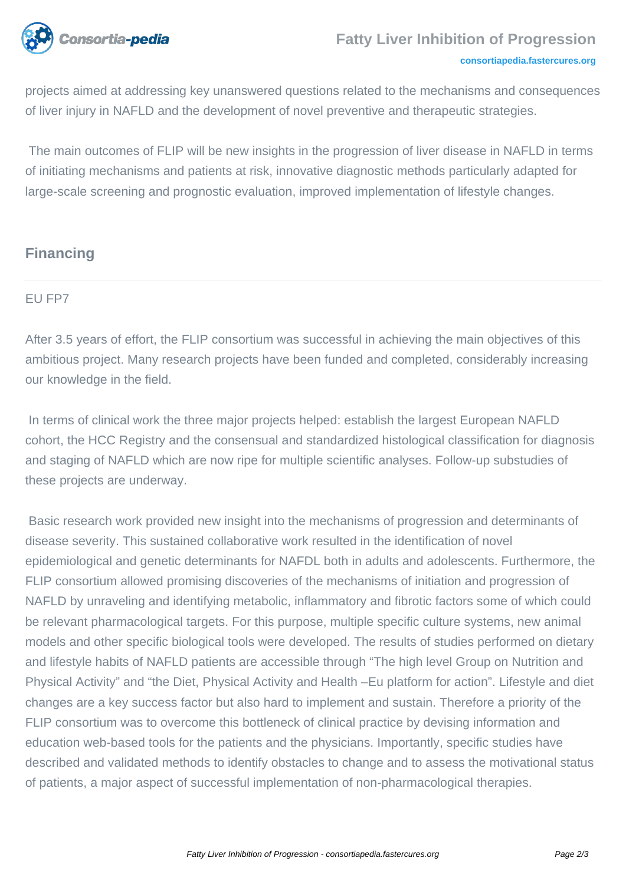

#### **[consortiapedia.fastercures.org](http://consortiapedia.fastercures.org/)**

projects aimed at addressing key unanswered questions related to the mechanisms and consequences of liver injury in NAFLD and the development of novel preventive and therapeutic strategies.

 The main outcomes of FLIP will be new insights in the progression of liver disease in NAFLD in terms of initiating mechanisms and patients at risk, innovative diagnostic methods particularly adapted for large-scale screening and prognostic evaluation, improved implementation of lifestyle changes.

# **Financing**

#### EU FP7

After 3.5 years of effort, the FLIP consortium was successful in achieving the main objectives of this ambitious project. Many research projects have been funded and completed, considerably increasing our knowledge in the field.

 In terms of clinical work the three major projects helped: establish the largest European NAFLD cohort, the HCC Registry and the consensual and standardized histological classification for diagnosis and staging of NAFLD which are now ripe for multiple scientific analyses. Follow-up substudies of these projects are underway.

 Basic research work provided new insight into the mechanisms of progression and determinants of disease severity. This sustained collaborative work resulted in the identification of novel epidemiological and genetic determinants for NAFDL both in adults and adolescents. Furthermore, the FLIP consortium allowed promising discoveries of the mechanisms of initiation and progression of NAFLD by unraveling and identifying metabolic, inflammatory and fibrotic factors some of which could be relevant pharmacological targets. For this purpose, multiple specific culture systems, new animal models and other specific biological tools were developed. The results of studies performed on dietary and lifestyle habits of NAFLD patients are accessible through "The high level Group on Nutrition and Physical Activity" and "the Diet, Physical Activity and Health –Eu platform for action". Lifestyle and diet changes are a key success factor but also hard to implement and sustain. Therefore a priority of the FLIP consortium was to overcome this bottleneck of clinical practice by devising information and education web-based tools for the patients and the physicians. Importantly, specific studies have described and validated methods to identify obstacles to change and to assess the motivational status of patients, a major aspect of successful implementation of non-pharmacological therapies.